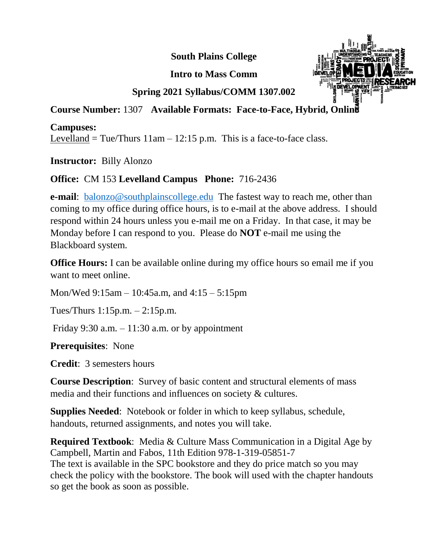**South Plains College**

**Intro to Mass Comm**



# **Spring 2021 Syllabus/COMM 1307.002**

#### **Course Number:** 1307 **Available Formats: Face-to-Face, Hybrid, Online**

#### **Campuses:**

Levelland = Tue/Thurs  $11$ am –  $12:15$  p.m. This is a face-to-face class.

**Instructor:** Billy Alonzo

## **Office:** CM 153 **Levelland Campus Phone:** 716-2436

**e-mail**: [balonzo@southplainscollege.edu](mailto:mkirby@southplainscollege.edu) The fastest way to reach me, other than coming to my office during office hours, is to e-mail at the above address. I should respond within 24 hours unless you e-mail me on a Friday. In that case, it may be Monday before I can respond to you. Please do **NOT** e-mail me using the Blackboard system.

**Office Hours:** I can be available online during my office hours so email me if you want to meet online.

Mon/Wed 9:15am – 10:45a.m, and 4:15 – 5:15pm

Tues/Thurs 1:15p.m. – 2:15p.m.

Friday 9:30 a.m.  $-11:30$  a.m. or by appointment

**Prerequisites**: None

**Credit**: 3 semesters hours

**Course Description**: Survey of basic content and structural elements of mass media and their functions and influences on society & cultures.

**Supplies Needed**: Notebook or folder in which to keep syllabus, schedule, handouts, returned assignments, and notes you will take.

**Required Textbook**: Media & Culture Mass Communication in a Digital Age by Campbell, Martin and Fabos, 11th Edition 978-1-319-05851-7 The text is available in the SPC bookstore and they do price match so you may check the policy with the bookstore. The book will used with the chapter handouts so get the book as soon as possible.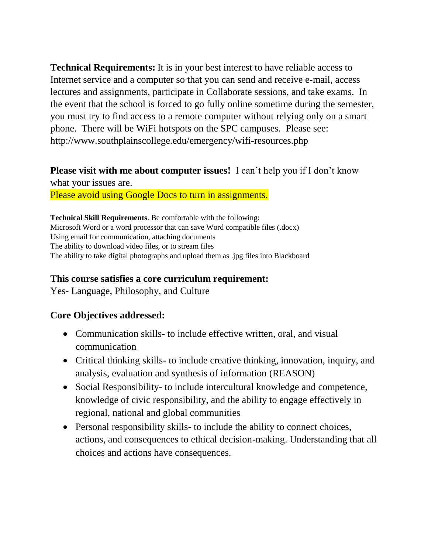**Technical Requirements:** It is in your best interest to have reliable access to Internet service and a computer so that you can send and receive e-mail, access lectures and assignments, participate in Collaborate sessions, and take exams. In the event that the school is forced to go fully online sometime during the semester, you must try to find access to a remote computer without relying only on a smart phone. There will be WiFi hotspots on the SPC campuses. Please see: http://www.southplainscollege.edu/emergency/wifi-resources.php

# **Please visit with me about computer issues!** I can't help you if I don't know what your issues are.

Please avoid using Google Docs to turn in assignments.

**Technical Skill Requirements**. Be comfortable with the following: Microsoft Word or a word processor that can save Word compatible files (.docx) Using email for communication, attaching documents The ability to download video files, or to stream files The ability to take digital photographs and upload them as .jpg files into Blackboard

#### **This course satisfies a core curriculum requirement:**

Yes- Language, Philosophy, and Culture

#### **Core Objectives addressed:**

- Communication skills- to include effective written, oral, and visual communication
- Critical thinking skills- to include creative thinking, innovation, inquiry, and analysis, evaluation and synthesis of information (REASON)
- Social Responsibility- to include intercultural knowledge and competence, knowledge of civic responsibility, and the ability to engage effectively in regional, national and global communities
- Personal responsibility skills- to include the ability to connect choices, actions, and consequences to ethical decision-making. Understanding that all choices and actions have consequences.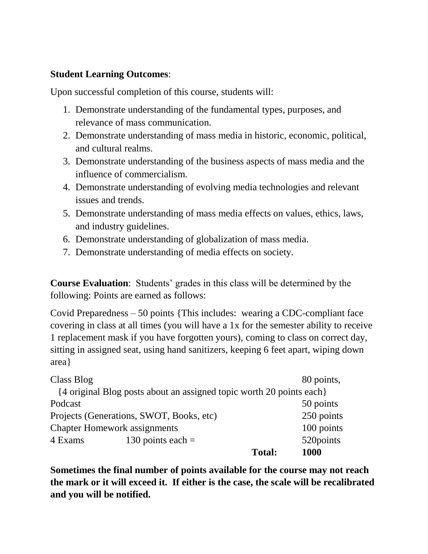## **Student Learning Outcomes**:

Upon successful completion of this course, students will:

- 1. Demonstrate understanding of the fundamental types, purposes, and relevance of mass communication.
- 2. Demonstrate understanding of mass media in historic, economic, political, and cultural realms.
- 3. Demonstrate understanding of the business aspects of mass media and the influence of commercialism.
- 4. Demonstrate understanding of evolving media technologies and relevant issues and trends.
- 5. Demonstrate understanding of mass media effects on values, ethics, laws, and industry guidelines.
- 6. Demonstrate understanding of globalization of mass media.
- 7. Demonstrate understanding of media effects on society.

**Course Evaluation**: Students' grades in this class will be determined by the following: Points are earned as follows:

Covid Preparedness – 50 points {This includes: wearing a CDC-compliant face covering in class at all times (you will have a 1x for the semester ability to receive 1 replacement mask if you have forgotten yours), coming to class on correct day, sitting in assigned seat, using hand sanitizers, keeping 6 feet apart, wiping down area}

| 520 points                                                           |
|----------------------------------------------------------------------|
| 100 points                                                           |
| 250 points                                                           |
| 50 points                                                            |
|                                                                      |
| 80 points,                                                           |
| {4 original Blog posts about an assigned topic worth 20 points each} |

**Sometimes the final number of points available for the course may not reach the mark or it will exceed it. If either is the case, the scale will be recalibrated and you will be notified.**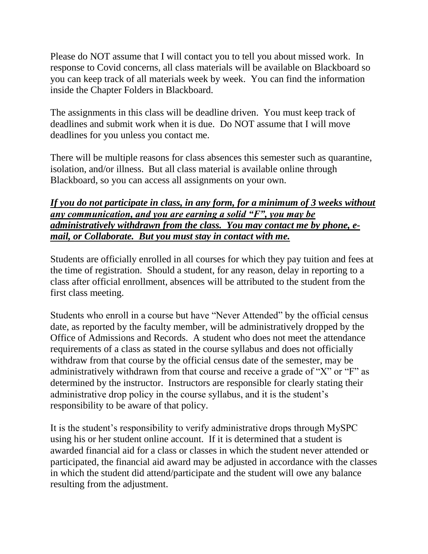Please do NOT assume that I will contact you to tell you about missed work. In response to Covid concerns, all class materials will be available on Blackboard so you can keep track of all materials week by week. You can find the information inside the Chapter Folders in Blackboard.

The assignments in this class will be deadline driven. You must keep track of deadlines and submit work when it is due. Do NOT assume that I will move deadlines for you unless you contact me.

There will be multiple reasons for class absences this semester such as quarantine, isolation, and/or illness. But all class material is available online through Blackboard, so you can access all assignments on your own.

#### *If you do not participate in class, in any form, for a minimum of 3 weeks without any communication, and you are earning a solid "F", you may be administratively withdrawn from the class. You may contact me by phone, email, or Collaborate. But you must stay in contact with me.*

Students are officially enrolled in all courses for which they pay tuition and fees at the time of registration. Should a student, for any reason, delay in reporting to a class after official enrollment, absences will be attributed to the student from the first class meeting.

Students who enroll in a course but have "Never Attended" by the official census date, as reported by the faculty member, will be administratively dropped by the Office of Admissions and Records. A student who does not meet the attendance requirements of a class as stated in the course syllabus and does not officially withdraw from that course by the official census date of the semester, may be administratively withdrawn from that course and receive a grade of "X" or "F" as determined by the instructor. Instructors are responsible for clearly stating their administrative drop policy in the course syllabus, and it is the student's responsibility to be aware of that policy.

It is the student's responsibility to verify administrative drops through MySPC using his or her student online account. If it is determined that a student is awarded financial aid for a class or classes in which the student never attended or participated, the financial aid award may be adjusted in accordance with the classes in which the student did attend/participate and the student will owe any balance resulting from the adjustment.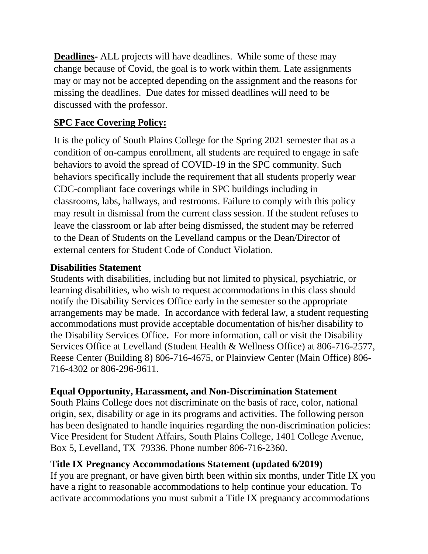**Deadlines-** ALL projects will have deadlines. While some of these may change because of Covid, the goal is to work within them. Late assignments may or may not be accepted depending on the assignment and the reasons for missing the deadlines. Due dates for missed deadlines will need to be discussed with the professor.

# **SPC Face Covering Policy:**

It is the policy of South Plains College for the Spring 2021 semester that as a condition of on-campus enrollment, all students are required to engage in safe behaviors to avoid the spread of COVID-19 in the SPC community. Such behaviors specifically include the requirement that all students properly wear CDC-compliant face coverings while in SPC buildings including in classrooms, labs, hallways, and restrooms. Failure to comply with this policy may result in dismissal from the current class session. If the student refuses to leave the classroom or lab after being dismissed, the student may be referred to the Dean of Students on the Levelland campus or the Dean/Director of external centers for Student Code of Conduct Violation.

## **Disabilities Statement**

Students with disabilities, including but not limited to physical, psychiatric, or learning disabilities, who wish to request accommodations in this class should notify the Disability Services Office early in the semester so the appropriate arrangements may be made. In accordance with federal law, a student requesting accommodations must provide acceptable documentation of his/her disability to the Disability Services Office**.** For more information, call or visit the Disability Services Office at Levelland (Student Health & Wellness Office) at 806-716-2577, Reese Center (Building 8) 806-716-4675, or Plainview Center (Main Office) 806- 716-4302 or 806-296-9611.

# **Equal Opportunity, Harassment, and Non-Discrimination Statement**

South Plains College does not discriminate on the basis of race, color, national origin, sex, disability or age in its programs and activities. The following person has been designated to handle inquiries regarding the non-discrimination policies: Vice President for Student Affairs, South Plains College, 1401 College Avenue, Box 5, Levelland, TX 79336. Phone number 806-716-2360.

# **Title IX Pregnancy Accommodations Statement (updated 6/2019)**

If you are pregnant, or have given birth been within six months, under Title IX you have a right to reasonable accommodations to help continue your education. To activate accommodations you must submit a Title IX pregnancy accommodations